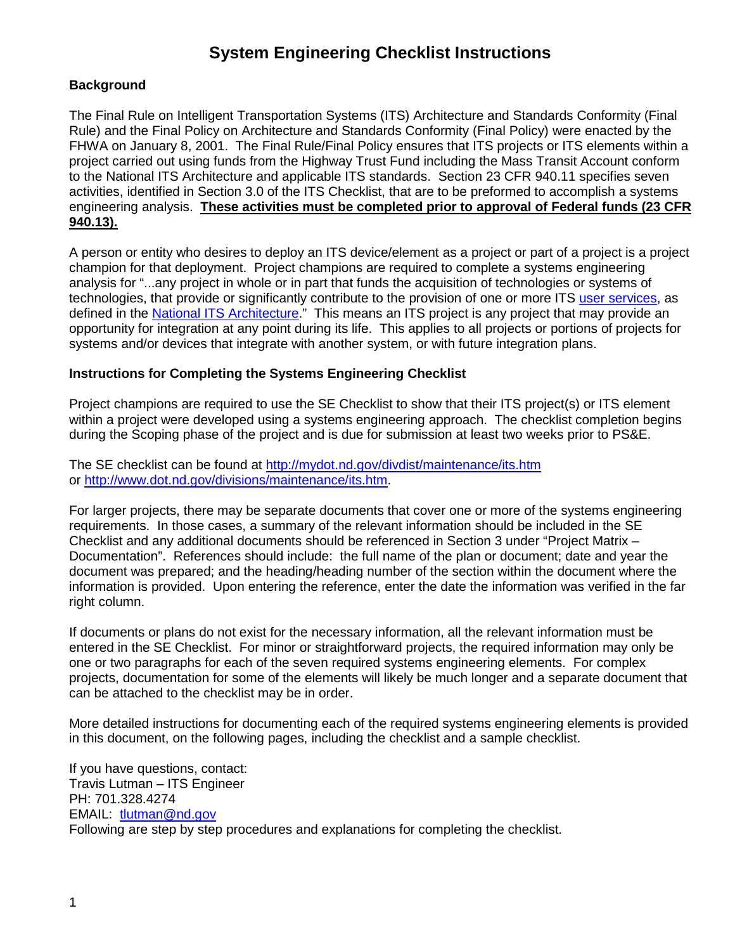# **System Engineering Checklist Instructions**

# **Background**

The Final Rule on Intelligent Transportation Systems (ITS) Architecture and Standards Conformity (Final Rule) and the Final Policy on Architecture and Standards Conformity (Final Policy) were enacted by the FHWA on January 8, 2001. The Final Rule/Final Policy ensures that ITS projects or ITS elements within a project carried out using funds from the Highway Trust Fund including the Mass Transit Account conform to the National ITS Architecture and applicable ITS standards. Section 23 CFR 940.11 specifies seven activities, identified in Section 3.0 of the ITS Checklist, that are to be preformed to accomplish a systems engineering analysis. **These activities must be completed prior to approval of Federal funds (23 CFR 940.13).**

A person or entity who desires to deploy an ITS device/element as a project or part of a project is a project champion for that deployment. Project champions are required to complete a systems engineering analysis for "...any project in whole or in part that funds the acquisition of technologies or systems of technologies, that provide or significantly contribute to the provision of one or more ITS [user services,](http://www.iteris.com/itsarch/html/user/userserv.htm) as defined in the [National ITS Architecture.](http://www.iteris.com/itsarch)" This means an ITS project is any project that may provide an opportunity for integration at any point during its life. This applies to all projects or portions of projects for systems and/or devices that integrate with another system, or with future integration plans.

# **Instructions for Completing the Systems Engineering Checklist**

Project champions are required to use the SE Checklist to show that their ITS project(s) or ITS element within a project were developed using a systems engineering approach. The checklist completion begins during the Scoping phase of the project and is due for submission at least two weeks prior to PS&E.

The SE checklist can be found at <http://mydot.nd.gov/divdist/maintenance/its.htm> or [http://www.dot.nd.gov/divisions/maintenance/its.htm.](http://www.dot.nd.gov/divisions/maintenance/its.htm)

For larger projects, there may be separate documents that cover one or more of the systems engineering requirements. In those cases, a summary of the relevant information should be included in the SE Checklist and any additional documents should be referenced in Section 3 under "Project Matrix – Documentation". References should include: the full name of the plan or document; date and year the document was prepared; and the heading/heading number of the section within the document where the information is provided. Upon entering the reference, enter the date the information was verified in the far right column.

If documents or plans do not exist for the necessary information, all the relevant information must be entered in the SE Checklist. For minor or straightforward projects, the required information may only be one or two paragraphs for each of the seven required systems engineering elements. For complex projects, documentation for some of the elements will likely be much longer and a separate document that can be attached to the checklist may be in order.

More detailed instructions for documenting each of the required systems engineering elements is provided in this document, on the following pages, including the checklist and a sample checklist.

If you have questions, contact: Travis Lutman – ITS Engineer PH: 701.328.4274 EMAIL: [tlutman@nd.gov](mailto:tlutman@nd.gov) Following are step by step procedures and explanations for completing the checklist.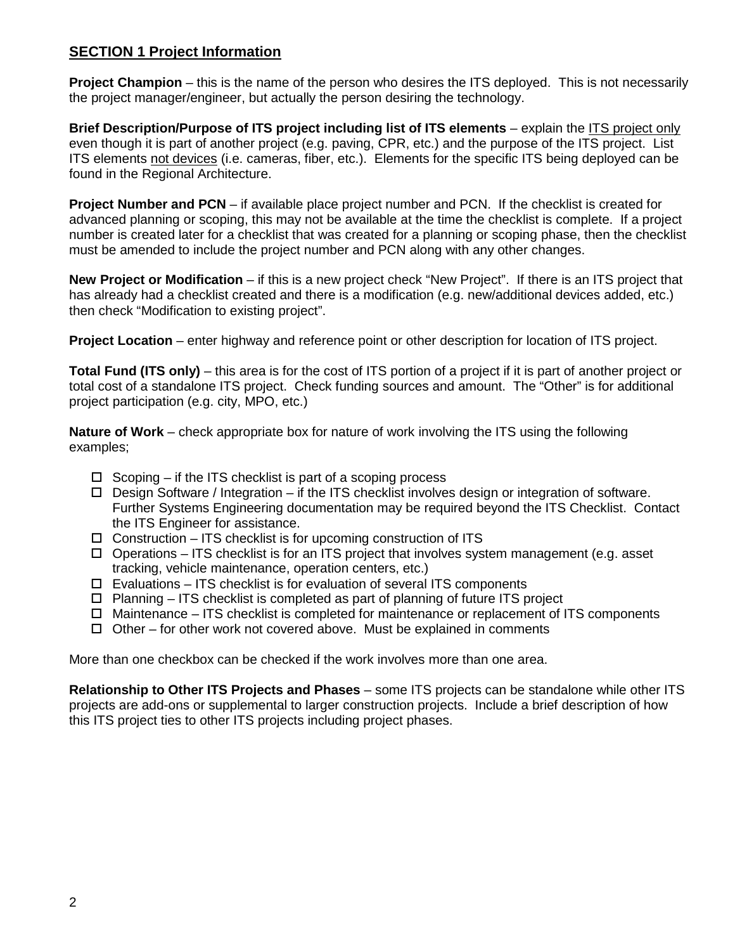# **SECTION 1 Project Information**

**Project Champion** – this is the name of the person who desires the ITS deployed. This is not necessarily the project manager/engineer, but actually the person desiring the technology.

**Brief Description/Purpose of ITS project including list of ITS elements** – explain the ITS project only even though it is part of another project (e.g. paving, CPR, etc.) and the purpose of the ITS project. List ITS elements not devices (i.e. cameras, fiber, etc.). Elements for the specific ITS being deployed can be found in the Regional Architecture.

**Project Number and PCN** – if available place project number and PCN. If the checklist is created for advanced planning or scoping, this may not be available at the time the checklist is complete. If a project number is created later for a checklist that was created for a planning or scoping phase, then the checklist must be amended to include the project number and PCN along with any other changes.

**New Project or Modification** – if this is a new project check "New Project". If there is an ITS project that has already had a checklist created and there is a modification (e.g. new/additional devices added, etc.) then check "Modification to existing project".

**Project Location** – enter highway and reference point or other description for location of ITS project.

**Total Fund (ITS only)** – this area is for the cost of ITS portion of a project if it is part of another project or total cost of a standalone ITS project. Check funding sources and amount. The "Other" is for additional project participation (e.g. city, MPO, etc.)

**Nature of Work** – check appropriate box for nature of work involving the ITS using the following examples;

- $\Box$  Scoping if the ITS checklist is part of a scoping process
- $\Box$  Design Software / Integration if the ITS checklist involves design or integration of software. Further Systems Engineering documentation may be required beyond the ITS Checklist. Contact the ITS Engineer for assistance.
- $\Box$  Construction ITS checklist is for upcoming construction of ITS
- $\Box$  Operations ITS checklist is for an ITS project that involves system management (e.g. asset tracking, vehicle maintenance, operation centers, etc.)
- $\Box$  Evaluations ITS checklist is for evaluation of several ITS components
- $\Box$  Planning ITS checklist is completed as part of planning of future ITS project
- $\Box$  Maintenance ITS checklist is completed for maintenance or replacement of ITS components
- $\Box$  Other for other work not covered above. Must be explained in comments

More than one checkbox can be checked if the work involves more than one area.

**Relationship to Other ITS Projects and Phases** – some ITS projects can be standalone while other ITS projects are add-ons or supplemental to larger construction projects. Include a brief description of how this ITS project ties to other ITS projects including project phases.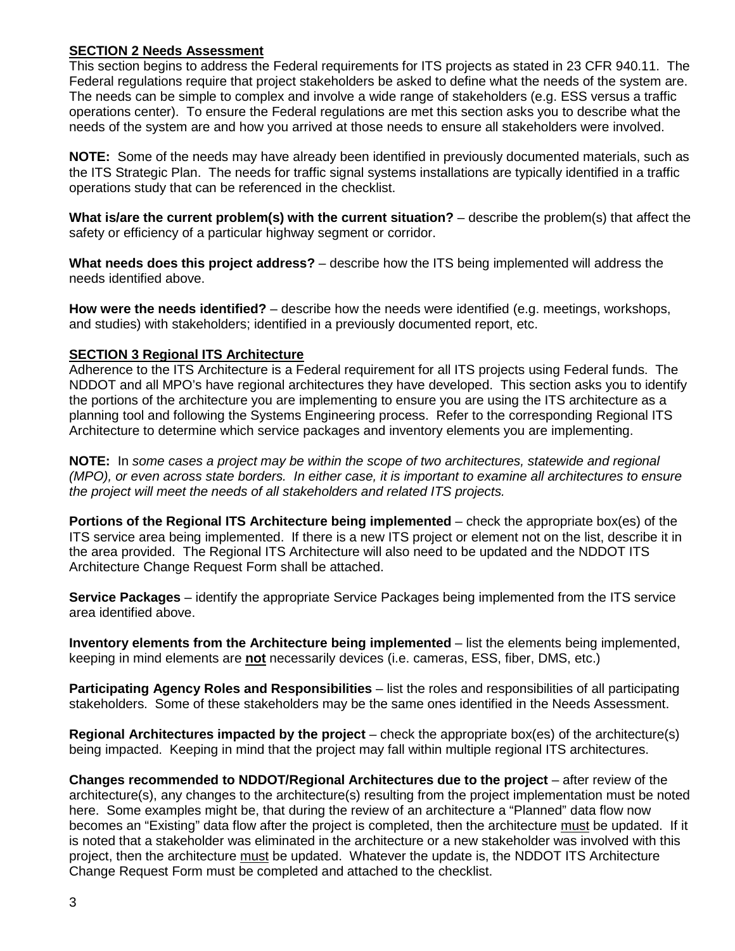# **SECTION 2 Needs Assessment**

This section begins to address the Federal requirements for ITS projects as stated in 23 CFR 940.11. The Federal regulations require that project stakeholders be asked to define what the needs of the system are. The needs can be simple to complex and involve a wide range of stakeholders (e.g. ESS versus a traffic operations center). To ensure the Federal regulations are met this section asks you to describe what the needs of the system are and how you arrived at those needs to ensure all stakeholders were involved.

**NOTE:** Some of the needs may have already been identified in previously documented materials, such as the ITS Strategic Plan. The needs for traffic signal systems installations are typically identified in a traffic operations study that can be referenced in the checklist.

**What is/are the current problem(s) with the current situation?** – describe the problem(s) that affect the safety or efficiency of a particular highway segment or corridor.

**What needs does this project address?** – describe how the ITS being implemented will address the needs identified above.

**How were the needs identified?** – describe how the needs were identified (e.g. meetings, workshops, and studies) with stakeholders; identified in a previously documented report, etc.

### **SECTION 3 Regional ITS Architecture**

Adherence to the ITS Architecture is a Federal requirement for all ITS projects using Federal funds. The NDDOT and all MPO's have regional architectures they have developed. This section asks you to identify the portions of the architecture you are implementing to ensure you are using the ITS architecture as a planning tool and following the Systems Engineering process. Refer to the corresponding Regional ITS Architecture to determine which service packages and inventory elements you are implementing.

**NOTE:** In *some cases a project may be within the scope of two architectures, statewide and regional (MPO), or even across state borders. In either case, it is important to examine all architectures to ensure the project will meet the needs of all stakeholders and related ITS projects.*

**Portions of the Regional ITS Architecture being implemented** – check the appropriate box(es) of the ITS service area being implemented. If there is a new ITS project or element not on the list, describe it in the area provided. The Regional ITS Architecture will also need to be updated and the NDDOT ITS Architecture Change Request Form shall be attached.

**Service Packages** – identify the appropriate Service Packages being implemented from the ITS service area identified above.

**Inventory elements from the Architecture being implemented** – list the elements being implemented, keeping in mind elements are **not** necessarily devices (i.e. cameras, ESS, fiber, DMS, etc.)

**Participating Agency Roles and Responsibilities** – list the roles and responsibilities of all participating stakeholders. Some of these stakeholders may be the same ones identified in the Needs Assessment.

**Regional Architectures impacted by the project** – check the appropriate box(es) of the architecture(s) being impacted. Keeping in mind that the project may fall within multiple regional ITS architectures.

**Changes recommended to NDDOT/Regional Architectures due to the project** – after review of the architecture(s), any changes to the architecture(s) resulting from the project implementation must be noted here. Some examples might be, that during the review of an architecture a "Planned" data flow now becomes an "Existing" data flow after the project is completed, then the architecture must be updated. If it is noted that a stakeholder was eliminated in the architecture or a new stakeholder was involved with this project, then the architecture must be updated. Whatever the update is, the NDDOT ITS Architecture Change Request Form must be completed and attached to the checklist.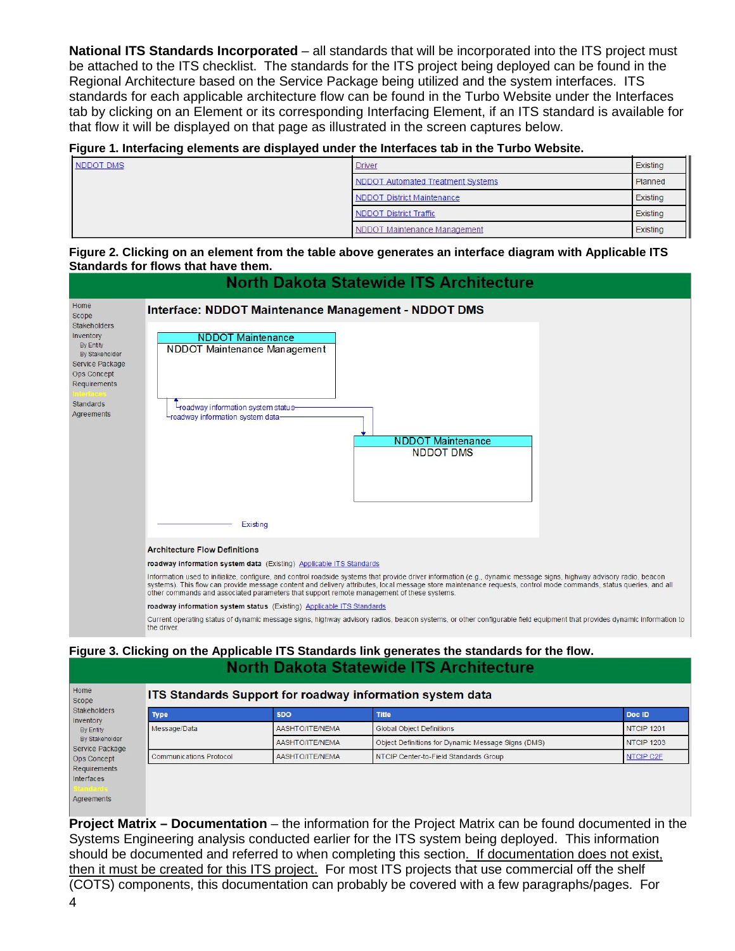**National ITS Standards Incorporated** – all standards that will be incorporated into the ITS project must be attached to the ITS checklist. The standards for the ITS project being deployed can be found in the Regional Architecture based on the Service Package being utilized and the system interfaces. ITS standards for each applicable architecture flow can be found in the Turbo Website under the Interfaces tab by clicking on an Element or its corresponding Interfacing Element, if an ITS standard is available for that flow it will be displayed on that page as illustrated in the screen captures below.

#### **Figure 1. Interfacing elements are displayed under the Interfaces tab in the Turbo Website.**

| NDDOT DMS | <b>Driver</b>                     | Existing |
|-----------|-----------------------------------|----------|
|           | NDDOT Automated Treatment Systems | Planned  |
|           | NDDOT District Maintenance        | Existing |
|           | <b>NDDOT District Traffic</b>     | Existing |
|           | NDDOT Maintenance Management      | Existing |

#### **Figure 2. Clicking on an element from the table above generates an interface diagram with Applicable ITS Standards for flows that have them.**



### **Figure 3. Clicking on the Applicable ITS Standards link generates the standards for the flow. North Dakota Statewide ITS Architecture**

|                                   | ITS Standards Support for roadway information system data |                                                    |                   |  |  |
|-----------------------------------|-----------------------------------------------------------|----------------------------------------------------|-------------------|--|--|
| <b>Type</b>                       | <b>SDO</b>                                                | <b>Title</b>                                       | Doc ID            |  |  |
| Message/Data                      | AASHTO/ITE/NEMA                                           | <b>Global Object Definitions</b>                   | <b>NTCIP 1201</b> |  |  |
| By Stakeholder<br>Service Package | AASHTO/ITE/NEMA                                           | Object Definitions for Dynamic Message Signs (DMS) | <b>NTCIP 1203</b> |  |  |
| <b>Communications Protocol</b>    | AASHTO/ITE/NEMA                                           | NTCIP Center-to-Field Standards Group              | NTCIP C2F         |  |  |
|                                   |                                                           |                                                    |                   |  |  |

**Project Matrix – Documentation** – the information for the Project Matrix can be found documented in the Systems Engineering analysis conducted earlier for the ITS system being deployed. This information should be documented and referred to when completing this section. If documentation does not exist, then it must be created for this ITS project. For most ITS projects that use commercial off the shelf (COTS) components, this documentation can probably be covered with a few paragraphs/pages. For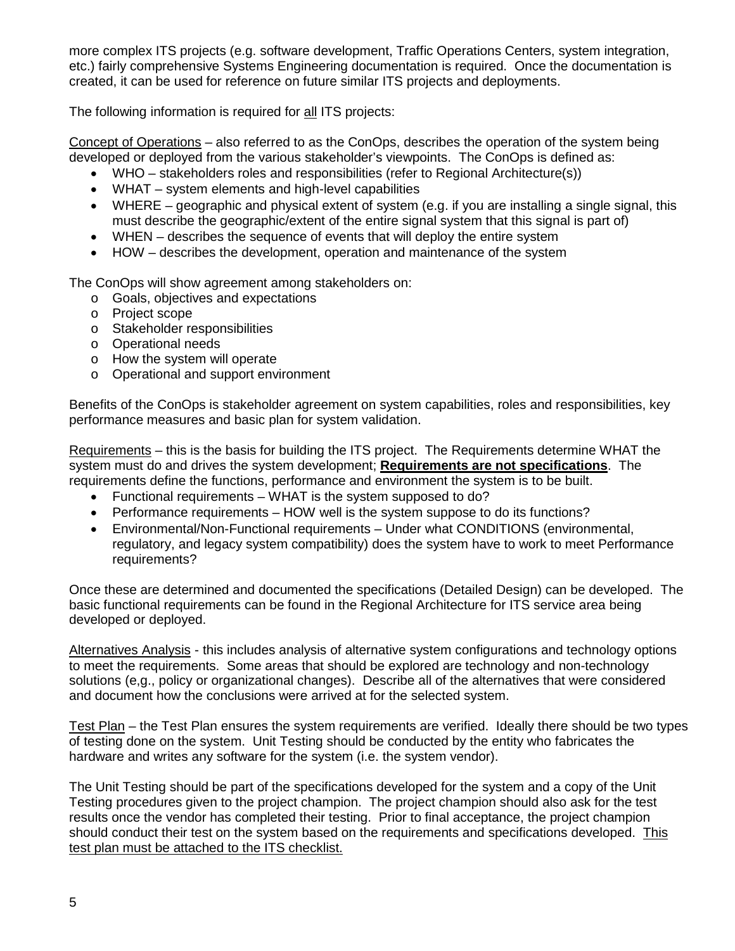more complex ITS projects (e.g. software development, Traffic Operations Centers, system integration, etc.) fairly comprehensive Systems Engineering documentation is required. Once the documentation is created, it can be used for reference on future similar ITS projects and deployments.

The following information is required for all ITS projects:

Concept of Operations – also referred to as the ConOps, describes the operation of the system being developed or deployed from the various stakeholder's viewpoints. The ConOps is defined as:

- WHO stakeholders roles and responsibilities (refer to Regional Architecture(s))
- WHAT system elements and high-level capabilities
- WHERE geographic and physical extent of system (e.g. if you are installing a single signal, this must describe the geographic/extent of the entire signal system that this signal is part of)
- WHEN describes the sequence of events that will deploy the entire system
- HOW describes the development, operation and maintenance of the system

The ConOps will show agreement among stakeholders on:

- o Goals, objectives and expectations
- o Project scope
- o Stakeholder responsibilities
- o Operational needs
- o How the system will operate
- o Operational and support environment

Benefits of the ConOps is stakeholder agreement on system capabilities, roles and responsibilities, key performance measures and basic plan for system validation.

Requirements – this is the basis for building the ITS project. The Requirements determine WHAT the system must do and drives the system development; **Requirements are not specifications**. The requirements define the functions, performance and environment the system is to be built.

- Functional requirements WHAT is the system supposed to do?
- Performance requirements HOW well is the system suppose to do its functions?
- Environmental/Non-Functional requirements Under what CONDITIONS (environmental, regulatory, and legacy system compatibility) does the system have to work to meet Performance requirements?

Once these are determined and documented the specifications (Detailed Design) can be developed. The basic functional requirements can be found in the Regional Architecture for ITS service area being developed or deployed.

Alternatives Analysis - this includes analysis of alternative system configurations and technology options to meet the requirements. Some areas that should be explored are technology and non-technology solutions (e,g., policy or organizational changes). Describe all of the alternatives that were considered and document how the conclusions were arrived at for the selected system.

Test Plan – the Test Plan ensures the system requirements are verified. Ideally there should be two types of testing done on the system. Unit Testing should be conducted by the entity who fabricates the hardware and writes any software for the system (i.e. the system vendor).

The Unit Testing should be part of the specifications developed for the system and a copy of the Unit Testing procedures given to the project champion. The project champion should also ask for the test results once the vendor has completed their testing. Prior to final acceptance, the project champion should conduct their test on the system based on the requirements and specifications developed. This test plan must be attached to the ITS checklist.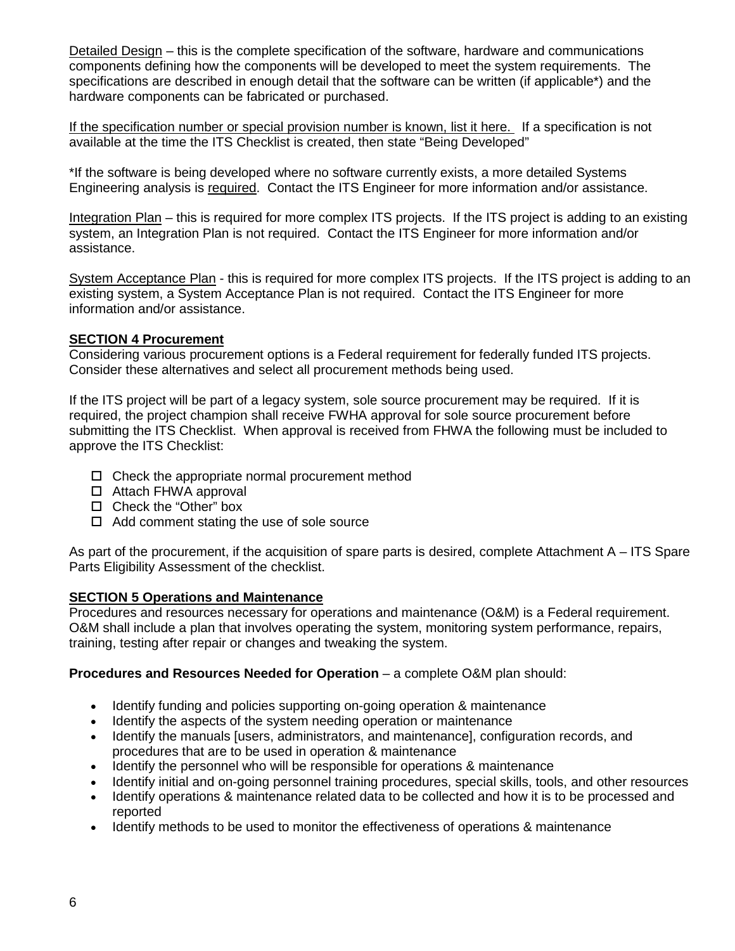Detailed Design – this is the complete specification of the software, hardware and communications components defining how the components will be developed to meet the system requirements. The specifications are described in enough detail that the software can be written (if applicable\*) and the hardware components can be fabricated or purchased.

If the specification number or special provision number is known, list it here. If a specification is not available at the time the ITS Checklist is created, then state "Being Developed"

\*If the software is being developed where no software currently exists, a more detailed Systems Engineering analysis is required. Contact the ITS Engineer for more information and/or assistance.

Integration Plan – this is required for more complex ITS projects. If the ITS project is adding to an existing system, an Integration Plan is not required. Contact the ITS Engineer for more information and/or assistance.

System Acceptance Plan - this is required for more complex ITS projects. If the ITS project is adding to an existing system, a System Acceptance Plan is not required. Contact the ITS Engineer for more information and/or assistance.

# **SECTION 4 Procurement**

Considering various procurement options is a Federal requirement for federally funded ITS projects. Consider these alternatives and select all procurement methods being used.

If the ITS project will be part of a legacy system, sole source procurement may be required. If it is required, the project champion shall receive FWHA approval for sole source procurement before submitting the ITS Checklist. When approval is received from FHWA the following must be included to approve the ITS Checklist:

- $\Box$  Check the appropriate normal procurement method
- □ Attach FHWA approval
- □ Check the "Other" box
- $\Box$  Add comment stating the use of sole source

As part of the procurement, if the acquisition of spare parts is desired, complete Attachment A – ITS Spare Parts Eligibility Assessment of the checklist.

# **SECTION 5 Operations and Maintenance**

Procedures and resources necessary for operations and maintenance (O&M) is a Federal requirement. O&M shall include a plan that involves operating the system, monitoring system performance, repairs, training, testing after repair or changes and tweaking the system.

# **Procedures and Resources Needed for Operation** – a complete O&M plan should:

- Identify funding and policies supporting on-going operation & maintenance
- Identify the aspects of the system needing operation or maintenance
- Identify the manuals [users, administrators, and maintenance], configuration records, and procedures that are to be used in operation & maintenance
- Identify the personnel who will be responsible for operations & maintenance
- Identify initial and on-going personnel training procedures, special skills, tools, and other resources
- Identify operations & maintenance related data to be collected and how it is to be processed and reported
- Identify methods to be used to monitor the effectiveness of operations & maintenance